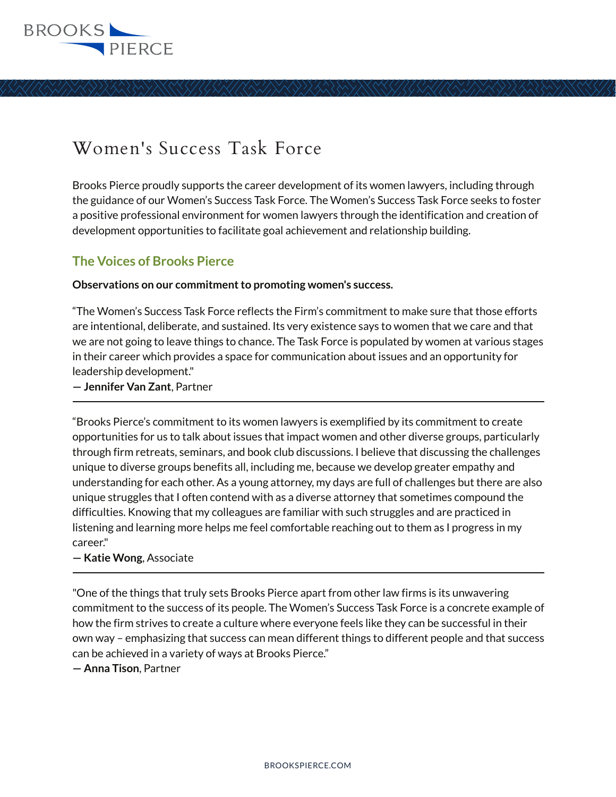

# Women's Success Task Force

Brooks Pierce proudly supports the career development of its women lawyers, including through the guidance of our Women's Success Task Force. The Women's Success Task Force seeks to foster a positive professional environment for women lawyers through the identification and creation of development opportunities to facilitate goal achievement and relationship building.

## **The Voices of Brooks Pierce**

**Observations on our commitment to promoting women's success.**

"The Women's Success Task Force reflects the Firm's commitment to make sure that those efforts are intentional, deliberate, and sustained. Its very existence says to women that we care and that we are not going to leave things to chance. The Task Force is populated by women at various stages in their career which provides a space for communication about issues and an opportunity for leadership development."

**— Jennifer Van Zant**, Partner l

"Brooks Pierce's commitment to its women lawyers is exemplified by its commitment to create opportunities for us to talk about issues that impact women and other diverse groups, particularly through firm retreats, seminars, and book club discussions. I believe that discussing the challenges unique to diverse groups benefits all, including me, because we develop greater empathy and understanding for each other. As a young attorney, my days are full of challenges but there are also unique struggles that I often contend with as a diverse attorney that sometimes compound the difficulties. Knowing that my colleagues are familiar with such struggles and are practiced in listening and learning more helps me feel comfortable reaching out to them as I progress in my career."

#### **— Katie Wong**, Associate  $\overline{a}$

"One of the things that truly sets Brooks Pierce apart from other law firms is its unwavering commitment to the success of its people. The Women's Success Task Force is a concrete example of how the firm strives to create a culture where everyone feels like they can be successful in their own way – emphasizing that success can mean different things to different people and that success can be achieved in a variety of ways at Brooks Pierce."

**— Anna Tison**, Partner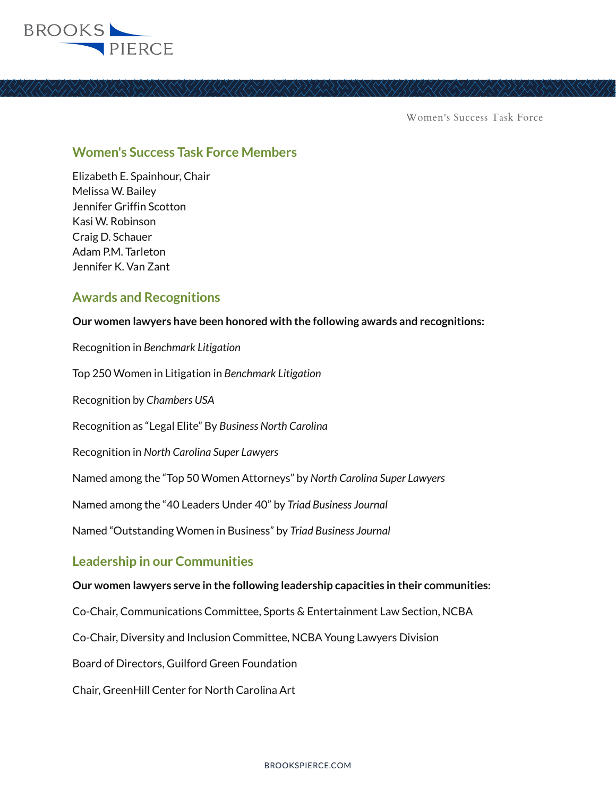

Women's Success Task Force

#### **Women's Success Task Force Members**

Elizabeth E. Spainhour, Chair Melissa W. Bailey Jennifer Griffin Scotton Kasi W. Robinson Craig D. Schauer Adam P.M. Tarleton Jennifer K. Van Zant

### **Awards and Recognitions**

**Our women lawyers have been honored with the following awards and recognitions:**

Recognition in *Benchmark Litigation* Top 250 Women in Litigation in *Benchmark Litigation* Recognition by *Chambers USA* Recognition as "Legal Elite" By *Business North Carolina* Recognition in *North Carolina Super Lawyers* Named among the "Top 50 Women Attorneys" by *North Carolina Super Lawyers* Named among the "40 Leaders Under 40" by *Triad Business Journal* Named "Outstanding Women in Business" by *Triad Business Journal* **Leadership in our Communities Our women lawyers serve in the following leadership capacities in their communities:**

Co-Chair, Communications Committee, Sports & Entertainment Law Section, NCBA

Co-Chair, Diversity and Inclusion Committee, NCBA Young Lawyers Division

Board of Directors, Guilford Green Foundation

Chair, GreenHill Center for North Carolina Art